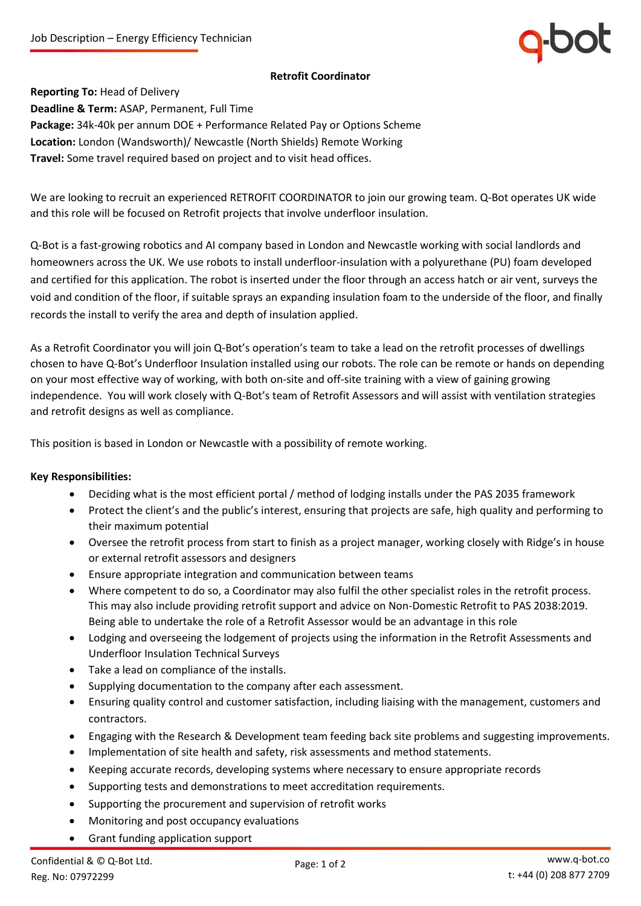# **Retrofit Coordinator**

**Reporting To:** Head of Delivery **Deadline & Term:** ASAP, Permanent, Full Time **Package:** 34k-40k per annum DOE + Performance Related Pay or Options Scheme **Location:** London (Wandsworth)/ Newcastle (North Shields) Remote Working **Travel:** Some travel required based on project and to visit head offices.

We are looking to recruit an experienced RETROFIT COORDINATOR to join our growing team. Q-Bot operates UK wide and this role will be focused on Retrofit projects that involve underfloor insulation.

Q-Bot is a fast*-*growing robotics and AI company based in London and Newcastle working with social landlords and homeowners across the UK. We use robots to install underfloor-insulation with a polyurethane (PU) foam developed and certified for this application. The robot is inserted under the floor through an access hatch or air vent, surveys the void and condition of the floor, if suitable sprays an expanding insulation foam to the underside of the floor, and finally records the install to verify the area and depth of insulation applied.

As a Retrofit Coordinator you will join Q-Bot's operation's team to take a lead on the retrofit processes of dwellings chosen to have Q-Bot's Underfloor Insulation installed using our robots. The role can be remote or hands on depending on your most effective way of working, with both on-site and off-site training with a view of gaining growing independence. You will work closely with Q-Bot's team of Retrofit Assessors and will assist with ventilation strategies and retrofit designs as well as compliance.

This position is based in London or Newcastle with a possibility of remote working.

# **Key Responsibilities:**

- Deciding what is the most efficient portal / method of lodging installs under the PAS 2035 framework
- Protect the client's and the public's interest, ensuring that projects are safe, high quality and performing to their maximum potential
- Oversee the retrofit process from start to finish as a project manager, working closely with Ridge's in house or external retrofit assessors and designers
- Ensure appropriate integration and communication between teams
- Where competent to do so, a Coordinator may also fulfil the other specialist roles in the retrofit process. This may also include providing retrofit support and advice on Non-Domestic Retrofit to PAS 2038:2019. Being able to undertake the role of a Retrofit Assessor would be an advantage in this role
- Lodging and overseeing the lodgement of projects using the information in the Retrofit Assessments and Underfloor Insulation Technical Surveys
- Take a lead on compliance of the installs.
- Supplying documentation to the company after each assessment.
- Ensuring quality control and customer satisfaction, including liaising with the management, customers and contractors.
- Engaging with the Research & Development team feeding back site problems and suggesting improvements.
- Implementation of site health and safety, risk assessments and method statements.
- Keeping accurate records, developing systems where necessary to ensure appropriate records
- Supporting tests and demonstrations to meet accreditation requirements.
- Supporting the procurement and supervision of retrofit works
- Monitoring and post occupancy evaluations
- Grant funding application support